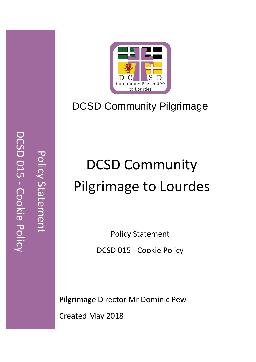

# DCSD Community Pilgrimage

# DCSD Community Pilgrimage to Lourdes

Policy Statement DCSD 015 - Cookie Policy

 Pilgrimage Director Mr Dominic Pew Created May 2018

DCSD 015 - Cookie Policy DCSD 015 Policy Statement Policy Statement Cookie Policy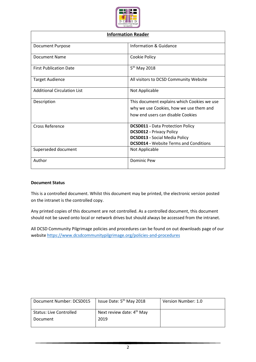

| <b>Information Reader</b>          |                                                                                                                                                                     |  |
|------------------------------------|---------------------------------------------------------------------------------------------------------------------------------------------------------------------|--|
| <b>Document Purpose</b>            | Information & Guidance                                                                                                                                              |  |
| Document Name                      | Cookie Policy                                                                                                                                                       |  |
| <b>First Publication Date</b>      | 5 <sup>th</sup> May 2018                                                                                                                                            |  |
| <b>Target Audience</b>             | All visitors to DCSD Community Website                                                                                                                              |  |
| <b>Additional Circulation List</b> | Not Applicable                                                                                                                                                      |  |
| Description                        | This document explains which Cookies we use<br>why we use Cookies, how we use them and<br>how end users can disable Cookies                                         |  |
| <b>Cross Reference</b>             | <b>DCSD011 - Data Protection Policy</b><br><b>DCSD012 - Privacy Policy</b><br><b>DCSD013 - Social Media Policy</b><br><b>DCSD014 - Website Terms and Conditions</b> |  |
| Superseded document                | Not Applicable                                                                                                                                                      |  |
| Author                             | Dominic Pew                                                                                                                                                         |  |

#### **Document Status**

This is a controlled document. Whilst this document may be printed, the electronic version posted on the intranet is the controlled copy.

Any printed copies of this document are not controlled. As a controlled document, this document should not be saved onto local or network drives but should always be accessed from the intranet.

All DCSD Community Pilgrimage policies and procedures can be found on out downloads page of our websit[e https://www.dcsdcommunitypilgrimage.org/policies-and-procedures](https://www.dcsdcommunitypilgrimage.org/policies-and-procedures)

| Document Number: DCSD015       | Issue Date: 5 <sup>th</sup> May 2018  | Version Number: 1.0 |
|--------------------------------|---------------------------------------|---------------------|
| <b>Status: Live Controlled</b> | Next review date: 4 <sup>th</sup> May |                     |
| Document                       | 2019                                  |                     |
|                                |                                       |                     |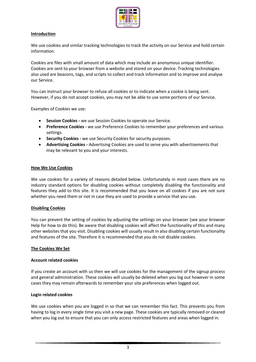

# **Introduction**

We use cookies and similar tracking technologies to track the activity on our Service and hold certain information.

Cookies are files with small amount of data which may include an anonymous unique identifier. Cookies are sent to your browser from a website and stored on your device. Tracking technologies also used are beacons, tags, and scripts to collect and track information and to improve and analyse our Service.

You can instruct your browser to refuse all cookies or to indicate when a cookie is being sent. However, if you do not accept cookies, you may not be able to use some portions of our Service.

Examples of Cookies we use:

- **Session Cookies -** we use Session Cookies to operate our Service.
- **Preference Cookies -** we use Preference Cookies to remember your preferences and various settings.
- **Security Cookies -** we use Security Cookies for security purposes.
- **Advertising Cookies -** Advertising Cookies are used to serve you with advertisements that may be relevant to you and your interests.

#### **How We Use Cookies**

We use cookies for a variety of reasons detailed below. Unfortunately in most cases there are no industry standard options for disabling cookies without completely disabling the functionality and features they add to this site. It is recommended that you leave on all cookies if you are not sure whether you need them or not in case they are used to provide a service that you use.

#### **Disabling Cookies**

You can prevent the setting of cookies by adjusting the settings on your browser (see your browser Help for how to do this). Be aware that disabling cookies will affect the functionality of this and many other websites that you visit. Disabling cookies will usually result in also disabling certain functionality and features of the site. Therefore it is recommended that you do not disable cookies.

#### **The Cookies We Set**

#### **Account related cookies**

If you create an account with us then we will use cookies for the management of the signup process and general administration. These cookies will usually be deleted when you log out however in some cases they may remain afterwards to remember your site preferences when logged out.

#### **Login related cookies**

We use cookies when you are logged in so that we can remember this fact. This prevents you from having to log in every single time you visit a new page. These cookies are typically removed or cleared when you log out to ensure that you can only access restricted features and areas when logged in.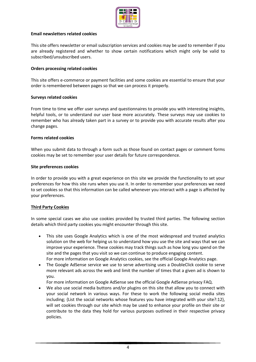

### **Email newsletters related cookies**

This site offers newsletter or email subscription services and cookies may be used to remember if you are already registered and whether to show certain notifications which might only be valid to subscribed/unsubscribed users.

# **Orders processing related cookies**

This site offers e-commerce or payment facilities and some cookies are essential to ensure that your order is remembered between pages so that we can process it properly.

#### **Surveys related cookies**

From time to time we offer user surveys and questionnaires to provide you with interesting insights, helpful tools, or to understand our user base more accurately. These surveys may use cookies to remember who has already taken part in a survey or to provide you with accurate results after you change pages.

#### **Forms related cookies**

When you submit data to through a form such as those found on contact pages or comment forms cookies may be set to remember your user details for future correspondence.

#### **Site preferences cookies**

In order to provide you with a great experience on this site we provide the functionality to set your preferences for how this site runs when you use it. In order to remember your preferences we need to set cookies so that this information can be called whenever you interact with a page is affected by your preferences.

# **Third Party Cookies**

In some special cases we also use cookies provided by trusted third parties. The following section details which third party cookies you might encounter through this site.

- This site uses Google Analytics which is one of the most widespread and trusted analytics solution on the web for helping us to understand how you use the site and ways that we can improve your experience. These cookies may track things such as how long you spend on the site and the pages that you visit so we can continue to produce engaging content. For more information on Google Analytics cookies, see the official Google Analytics page.
- The Google AdSense service we use to serve advertising uses a DoubleClick cookie to serve more relevant ads across the web and limit the number of times that a given ad is shown to you.
	- For more information on Google AdSense see the official Google AdSense privacy FAQ.
- We also use social media buttons and/or plugins on this site that allow you to connect with your social network in various ways. For these to work the following social media sites including; {List the social networks whose features you have integrated with your site?:12}, will set cookies through our site which may be used to enhance your profile on their site or contribute to the data they hold for various purposes outlined in their respective privacy policies.